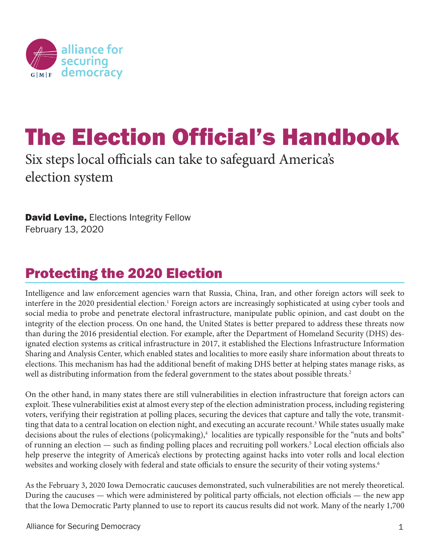

# The Election Official's Handbook

Six steps local officials can take to safeguard America's election system

**David Levine, Elections Integrity Fellow** February 13, 2020

## Protecting the 2020 Election

Intelligence and law enforcement agencies warn that Russia, China, Iran, and other foreign actors will seek to interfere in the 2020 presidential election.<sup>1</sup> Foreign actors are increasingly sophisticated at using cyber tools and social media to probe and penetrate electoral infrastructure, manipulate public opinion, and cast doubt on the integrity of the election process. On one hand, the United States is better prepared to address these threats now than during the 2016 presidential election. For example, after the Department of Homeland Security (DHS) designated election systems as critical infrastructure in 2017, it established the Elections Infrastructure Information Sharing and Analysis Center, which enabled states and localities to more easily share information about threats to elections. This mechanism has had the additional benefit of making DHS better at helping states manage risks, as well as distributing information from the federal government to the states about possible threats.<sup>2</sup>

On the other hand, in many states there are still vulnerabilities in election infrastructure that foreign actors can exploit. These vulnerabilities exist at almost every step of the election administration process, including registering voters, verifying their registration at polling places, securing the devices that capture and tally the vote, transmitting that data to a central location on election night, and executing an accurate recount.<sup>3</sup> While states usually make decisions about the rules of elections (policymaking),<sup>4</sup> localities are typically responsible for the "nuts and bolts" of running an election — such as finding polling places and recruiting poll workers.<sup>5</sup> Local election officials also help preserve the integrity of America's elections by protecting against hacks into voter rolls and local election websites and working closely with federal and state officials to ensure the security of their voting systems.<sup>6</sup>

As the February 3, 2020 Iowa Democratic caucuses demonstrated, such vulnerabilities are not merely theoretical. During the caucuses — which were administered by political party officials, not election officials — the new app that the Iowa Democratic Party planned to use to report its caucus results did not work. Many of the nearly 1,700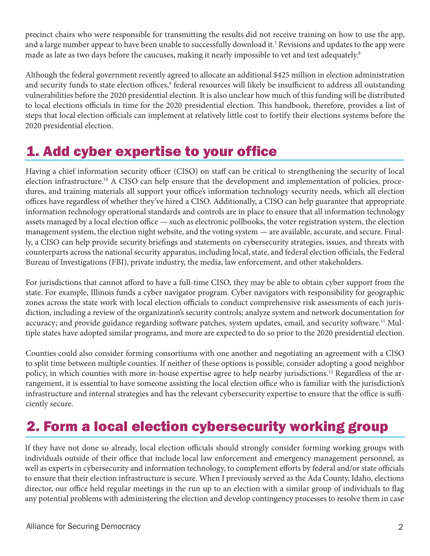precinct chairs who were responsible for transmitting the results did not receive training on how to use the app, and a large number appear to have been unable to successfully download it.7 Revisions and updates to the app were made as late as two days before the caucuses, making it nearly impossible to vet and test adequately.8

Although the federal government recently agreed to allocate an additional \$425 million in election administration and security funds to state election offices,<sup>9</sup> federal resources will likely be insufficient to address all outstanding vulnerabilities before the 2020 presidential election. It is also unclear how much of this funding will be distributed to local elections officials in time for the 2020 presidential election. This handbook, therefore, provides a list of steps that local election officials can implement at relatively little cost to fortify their elections systems before the 2020 presidential election.

### 1. Add cyber expertise to your office

Having a chief information security officer (CISO) on staff can be critical to strengthening the security of local election infrastructure.<sup>10</sup> A CISO can help ensure that the development and implementation of policies, procedures, and training materials all support your office's information technology security needs, which all election offices have regardless of whether they've hired a CISO. Additionally, a CISO can help guarantee that appropriate information technology operational standards and controls are in place to ensure that all information technology assets managed by a local election office — such as electronic pollbooks, the voter registration system, the election management system, the election night website, and the voting system — are available, accurate, and secure. Finally, a CISO can help provide security briefings and statements on cybersecurity strategies, issues, and threats with counterparts across the national security apparatus, including local, state, and federal election officials, the Federal Bureau of Investigations (FBI), private industry, the media, law enforcement, and other stakeholders.

For jurisdictions that cannot afford to have a full-time CISO, they may be able to obtain cyber support from the state. For example, Illinois funds a cyber navigator program. Cyber navigators with responsibility for geographic zones across the state work with local election officials to conduct comprehensive risk assessments of each jurisdiction, including a review of the organization's security controls; analyze system and network documentation for accuracy; and provide guidance regarding software patches, system updates, email, and security software.11 Multiple states have adopted similar programs, and more are expected to do so prior to the 2020 presidential election.

Counties could also consider forming consortiums with one another and negotiating an agreement with a CISO to split time between multiple counties. If neither of these options is possible, consider adopting a good neighbor policy, in which counties with more in-house expertise agree to help nearby jurisdictions.12 Regardless of the arrangement, it is essential to have someone assisting the local election office who is familiar with the jurisdiction's infrastructure and internal strategies and has the relevant cybersecurity expertise to ensure that the office is sufficiently secure.

#### 2. Form a local election cybersecurity working group

If they have not done so already, local election officials should strongly consider forming working groups with individuals outside of their office that include local law enforcement and emergency management personnel, as well as experts in cybersecurity and information technology, to complement efforts by federal and/or state officials to ensure that their election infrastructure is secure. When I previously served as the Ada County, Idaho, elections director, our office held regular meetings in the run up to an election with a similar group of individuals to flag any potential problems with administering the election and develop contingency processes to resolve them in case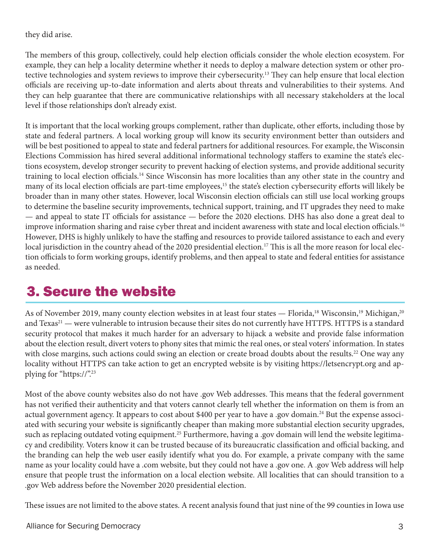they did arise.

The members of this group, collectively, could help election officials consider the whole election ecosystem. For example, they can help a locality determine whether it needs to deploy a malware detection system or other protective technologies and system reviews to improve their cybersecurity.<sup>13</sup> They can help ensure that local election officials are receiving up-to-date information and alerts about threats and vulnerabilities to their systems. And they can help guarantee that there are communicative relationships with all necessary stakeholders at the local level if those relationships don't already exist.

It is important that the local working groups complement, rather than duplicate, other efforts, including those by state and federal partners. A local working group will know its security environment better than outsiders and will be best positioned to appeal to state and federal partners for additional resources. For example, the Wisconsin Elections Commission has hired several additional informational technology staffers to examine the state's elections ecosystem, develop stronger security to prevent hacking of election systems, and provide additional security training to local election officials.14 Since Wisconsin has more localities than any other state in the country and many of its local election officials are part-time employees,<sup>15</sup> the state's election cybersecurity efforts will likely be broader than in many other states. However, local Wisconsin election officials can still use local working groups to determine the baseline security improvements, technical support, training, and IT upgrades they need to make — and appeal to state IT officials for assistance — before the 2020 elections. DHS has also done a great deal to improve information sharing and raise cyber threat and incident awareness with state and local election officials.<sup>16</sup> However, DHS is highly unlikely to have the staffing and resources to provide tailored assistance to each and every local jurisdiction in the country ahead of the 2020 presidential election.<sup>17</sup> This is all the more reason for local election officials to form working groups, identify problems, and then appeal to state and federal entities for assistance as needed.

#### 3. Secure the website

As of November 2019, many county election websites in at least four states — Florida,<sup>18</sup> Wisconsin,<sup>19</sup> Michigan,<sup>20</sup> and Texas<sup>21</sup> — were vulnerable to intrusion because their sites do not currently have HTTPS. HTTPS is a standard security protocol that makes it much harder for an adversary to hijack a website and provide false information about the election result, divert voters to phony sites that mimic the real ones, or steal voters' information. In states with close margins, such actions could swing an election or create broad doubts about the results.<sup>22</sup> One way any locality without HTTPS can take action to get an encrypted website is by visiting https://letsencrypt.org and applying for "https://".23

Most of the above county websites also do not have .gov Web addresses. This means that the federal government has not verified their authenticity and that voters cannot clearly tell whether the information on them is from an actual government agency. It appears to cost about \$400 per year to have a .gov domain.<sup>24</sup> But the expense associated with securing your website is significantly cheaper than making more substantial election security upgrades, such as replacing outdated voting equipment.<sup>25</sup> Furthermore, having a .gov domain will lend the website legitimacy and credibility. Voters know it can be trusted because of its bureaucratic classification and official backing, and the branding can help the web user easily identify what you do. For example, a private company with the same name as your locality could have a .com website, but they could not have a .gov one. A .gov Web address will help ensure that people trust the information on a local election website. All localities that can should transition to a .gov Web address before the November 2020 presidential election.

These issues are not limited to the above states. A recent analysis found that just nine of the 99 counties in Iowa use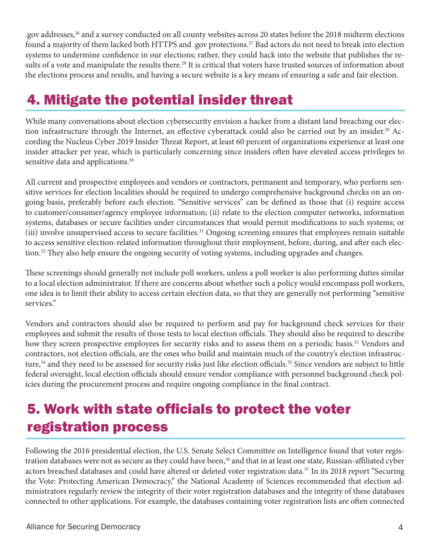.gov addresses,26 and a survey conducted on all county websites across 20 states before the 2018 midterm elections found a majority of them lacked both HTTPS and .gov protections.27 Bad actors do not need to break into election systems to undermine confidence in our elections; rather, they could hack into the website that publishes the results of a vote and manipulate the results there.<sup>28</sup> It is critical that voters have trusted sources of information about the elections process and results, and having a secure website is a key means of ensuring a safe and fair election.

### 4. Mitigate the potential insider threat

While many conversations about election cybersecurity envision a hacker from a distant land breaching our election infrastructure through the Internet, an effective cyberattack could also be carried out by an insider.<sup>29</sup> According the Nucleus Cyber 2019 Insider Threat Report, at least 60 percent of organizations experience at least one insider attacker per year, which is particularly concerning since insiders often have elevated access privileges to sensitive data and applications.<sup>30</sup>

All current and prospective employees and vendors or contractors, permanent and temporary, who perform sensitive services for election localities should be required to undergo comprehensive background checks on an ongoing basis, preferably before each election. "Sensitive services" can be defined as those that (i) require access to customer/consumer/agency employee information; (ii) relate to the election computer networks, information systems, databases or secure facilities under circumstances that would permit modifications to such systems; or (iii) involve unsupervised access to secure facilities.<sup>31</sup> Ongoing screening ensures that employees remain suitable to access sensitive election-related information throughout their employment, before, during, and after each election.<sup>32</sup> They also help ensure the ongoing security of voting systems, including upgrades and changes.

These screenings should generally not include poll workers, unless a poll worker is also performing duties similar to a local election administrator. If there are concerns about whether such a policy would encompass poll workers, one idea is to limit their ability to access certain election data, so that they are generally not performing "sensitive services."

Vendors and contractors should also be required to perform and pay for background check services for their employees and submit the results of those tests to local election officials. They should also be required to describe how they screen prospective employees for security risks and to assess them on a periodic basis.<sup>33</sup> Vendors and contractors, not election officials, are the ones who build and maintain much of the country's election infrastructure,<sup>34</sup> and they need to be assessed for security risks just like election officials.<sup>35</sup> Since vendors are subject to little federal oversight, local election officials should ensure vendor compliance with personnel background check policies during the procurement process and require ongoing compliance in the final contract.

#### 5. Work with state officials to protect the voter registration process

Following the 2016 presidential election, the U.S. Senate Select Committee on Intelligence found that voter registration databases were not as secure as they could have been,<sup>36</sup> and that in at least one state, Russian-affiliated cyber actors breached databases and could have altered or deleted voter registration data.<sup>37</sup> In its 2018 report "Securing the Vote: Protecting American Democracy," the National Academy of Sciences recommended that election administrators regularly review the integrity of their voter registration databases and the integrity of these databases connected to other applications. For example, the databases containing voter registration lists are often connected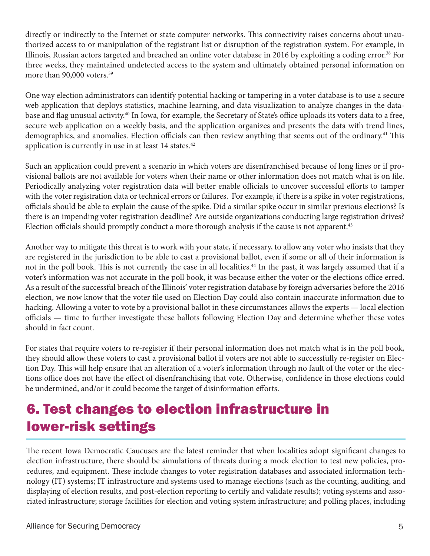directly or indirectly to the Internet or state computer networks. This connectivity raises concerns about unauthorized access to or manipulation of the registrant list or disruption of the registration system. For example, in Illinois, Russian actors targeted and breached an online voter database in 2016 by exploiting a coding error.38 For three weeks, they maintained undetected access to the system and ultimately obtained personal information on more than 90,000 voters.<sup>39</sup>

One way election administrators can identify potential hacking or tampering in a voter database is to use a secure web application that deploys statistics, machine learning, and data visualization to analyze changes in the database and flag unusual activity.<sup>40</sup> In Iowa, for example, the Secretary of State's office uploads its voters data to a free, secure web application on a weekly basis, and the application organizes and presents the data with trend lines, demographics, and anomalies. Election officials can then review anything that seems out of the ordinary.<sup>41</sup> This application is currently in use in at least 14 states.<sup>42</sup>

Such an application could prevent a scenario in which voters are disenfranchised because of long lines or if provisional ballots are not available for voters when their name or other information does not match what is on file. Periodically analyzing voter registration data will better enable officials to uncover successful efforts to tamper with the voter registration data or technical errors or failures. For example, if there is a spike in voter registrations, officials should be able to explain the cause of the spike. Did a similar spike occur in similar previous elections? Is there is an impending voter registration deadline? Are outside organizations conducting large registration drives? Election officials should promptly conduct a more thorough analysis if the cause is not apparent.<sup>43</sup>

Another way to mitigate this threat is to work with your state, if necessary, to allow any voter who insists that they are registered in the jurisdiction to be able to cast a provisional ballot, even if some or all of their information is not in the poll book. This is not currently the case in all localities.<sup>44</sup> In the past, it was largely assumed that if a voter's information was not accurate in the poll book, it was because either the voter or the elections office erred. As a result of the successful breach of the Illinois' voter registration database by foreign adversaries before the 2016 election, we now know that the voter file used on Election Day could also contain inaccurate information due to hacking. Allowing a voter to vote by a provisional ballot in these circumstances allows the experts — local election officials — time to further investigate these ballots following Election Day and determine whether these votes should in fact count.

For states that require voters to re-register if their personal information does not match what is in the poll book, they should allow these voters to cast a provisional ballot if voters are not able to successfully re-register on Election Day. This will help ensure that an alteration of a voter's information through no fault of the voter or the elections office does not have the effect of disenfranchising that vote. Otherwise, confidence in those elections could be undermined, and/or it could become the target of disinformation efforts.

## 6. Test changes to election infrastructure in lower-risk settings

The recent Iowa Democratic Caucuses are the latest reminder that when localities adopt significant changes to election infrastructure, there should be simulations of threats during a mock election to test new policies, procedures, and equipment. These include changes to voter registration databases and associated information technology (IT) systems; IT infrastructure and systems used to manage elections (such as the counting, auditing, and displaying of election results, and post-election reporting to certify and validate results); voting systems and associated infrastructure; storage facilities for election and voting system infrastructure; and polling places, including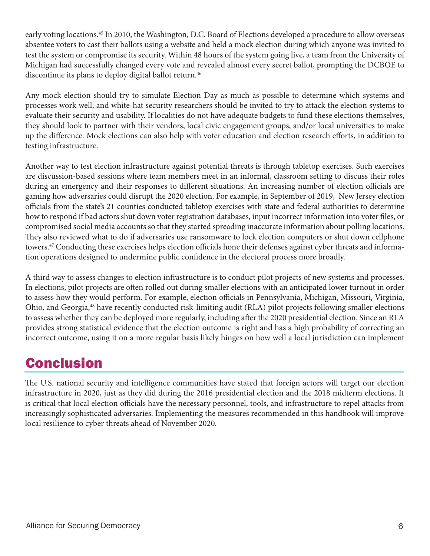early voting locations.<sup>45</sup> In 2010, the Washington, D.C. Board of Elections developed a procedure to allow overseas absentee voters to cast their ballots using a website and held a mock election during which anyone was invited to test the system or compromise its security. Within 48 hours of the system going live, a team from the University of Michigan had successfully changed every vote and revealed almost every secret ballot, prompting the DCBOE to discontinue its plans to deploy digital ballot return.<sup>46</sup>

Any mock election should try to simulate Election Day as much as possible to determine which systems and processes work well, and white-hat security researchers should be invited to try to attack the election systems to evaluate their security and usability. If localities do not have adequate budgets to fund these elections themselves, they should look to partner with their vendors, local civic engagement groups, and/or local universities to make up the difference. Mock elections can also help with voter education and election research efforts, in addition to testing infrastructure.

Another way to test election infrastructure against potential threats is through tabletop exercises. Such exercises are discussion-based sessions where team members meet in an informal, classroom setting to discuss their roles during an emergency and their responses to different situations. An increasing number of election officials are gaming how adversaries could disrupt the 2020 election. For example, in September of 2019, New Jersey election officials from the state's 21 counties conducted tabletop exercises with state and federal authorities to determine how to respond if bad actors shut down voter registration databases, input incorrect information into voter files, or compromised social media accounts so that they started spreading inaccurate information about polling locations. They also reviewed what to do if adversaries use ransomware to lock election computers or shut down cellphone towers.<sup>47</sup> Conducting these exercises helps election officials hone their defenses against cyber threats and information operations designed to undermine public confidence in the electoral process more broadly.

A third way to assess changes to election infrastructure is to conduct pilot projects of new systems and processes. In elections, pilot projects are often rolled out during smaller elections with an anticipated lower turnout in order to assess how they would perform. For example, election officials in Pennsylvania, Michigan, Missouri, Virginia, Ohio, and Georgia,48 have recently conducted risk-limiting audit (RLA) pilot projects following smaller elections to assess whether they can be deployed more regularly, including after the 2020 presidential election. Since an RLA provides strong statistical evidence that the election outcome is right and has a high probability of correcting an incorrect outcome, using it on a more regular basis likely hinges on how well a local jurisdiction can implement

#### **Conclusion**

The U.S. national security and intelligence communities have stated that foreign actors will target our election infrastructure in 2020, just as they did during the 2016 presidential election and the 2018 midterm elections. It is critical that local election officials have the necessary personnel, tools, and infrastructure to repel attacks from increasingly sophisticated adversaries. Implementing the measures recommended in this handbook will improve local resilience to cyber threats ahead of November 2020.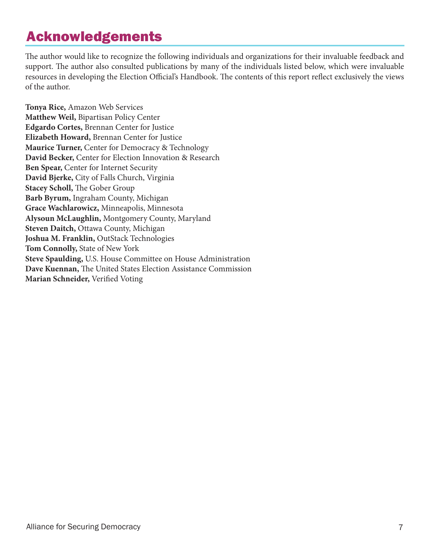#### Acknowledgements

The author would like to recognize the following individuals and organizations for their invaluable feedback and support. The author also consulted publications by many of the individuals listed below, which were invaluable resources in developing the Election Official's Handbook. The contents of this report reflect exclusively the views of the author.

**Tonya Rice,** Amazon Web Services **Matthew Weil,** Bipartisan Policy Center **Edgardo Cortes,** Brennan Center for Justice **Elizabeth Howard,** Brennan Center for Justice **Maurice Turner,** Center for Democracy & Technology **David Becker,** Center for Election Innovation & Research **Ben Spear,** Center for Internet Security **David Bjerke,** City of Falls Church, Virginia **Stacey Scholl,** The Gober Group **Barb Byrum,** Ingraham County, Michigan **Grace Wachlarowicz,** Minneapolis, Minnesota **Alysoun McLaughlin,** Montgomery County, Maryland **Steven Daitch,** Ottawa County, Michigan **Joshua M. Franklin,** OutStack Technologies **Tom Connolly,** State of New York **Steve Spaulding,** U.S. House Committee on House Administration **Dave Kuennan,** The United States Election Assistance Commission **Marian Schneider,** Verified Voting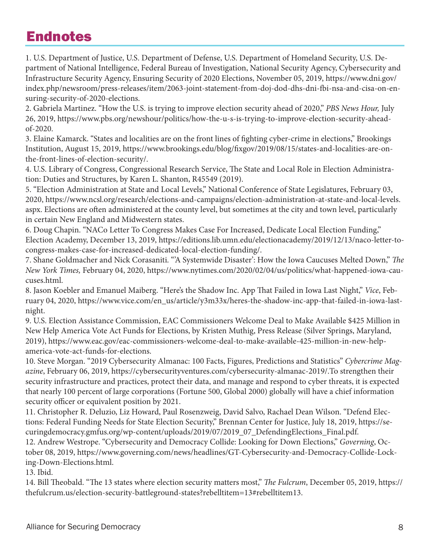#### Endnotes

1. U.S. Department of Justice, U.S. Department of Defense, U.S. Department of Homeland Security, U.S. Department of National Intelligence, Federal Bureau of Investigation, National Security Agency, Cybersecurity and Infrastructure Security Agency, Ensuring Security of 2020 Elections, November 05, 2019, https://www.dni.gov/ index.php/newsroom/press-releases/item/2063-joint-statement-from-doj-dod-dhs-dni-fbi-nsa-and-cisa-on-ensuring-security-of-2020-elections.

2. Gabriela Martinez. "How the U.S. is trying to improve election security ahead of 2020," *PBS News Hour,* July 26, 2019, https://www.pbs.org/newshour/politics/how-the-u-s-is-trying-to-improve-election-security-aheadof-2020.

3. Elaine Kamarck. "States and localities are on the front lines of fighting cyber-crime in elections," Brookings Institution, August 15, 2019, https://www.brookings.edu/blog/fixgov/2019/08/15/states-and-localities-are-onthe-front-lines-of-election-security/.

4. U.S. Library of Congress, Congressional Research Service, The State and Local Role in Election Administration: Duties and Structures, by Karen L. Shanton, R45549 (2019).

5. "Election Administration at State and Local Levels," National Conference of State Legislatures, February 03, 2020, https://www.ncsl.org/research/elections-and-campaigns/election-administration-at-state-and-local-levels. aspx. Elections are often administered at the county level, but sometimes at the city and town level, particularly in certain New England and Midwestern states.

6. Doug Chapin. "NACo Letter To Congress Makes Case For Increased, Dedicate Local Election Funding," Election Academy, December 13, 2019, https://editions.lib.umn.edu/electionacademy/2019/12/13/naco-letter-tocongress-makes-case-for-increased-dedicated-local-election-funding/.

7. Shane Goldmacher and Nick Corasaniti. "'A Systemwide Disaster': How the Iowa Caucuses Melted Down," *The New York Times,* February 04, 2020, https://www.nytimes.com/2020/02/04/us/politics/what-happened-iowa-caucuses.html.

8. Jason Koebler and Emanuel Maiberg. "Here's the Shadow Inc. App That Failed in Iowa Last Night," *Vice*, February 04, 2020, https://www.vice.com/en\_us/article/y3m33x/heres-the-shadow-inc-app-that-failed-in-iowa-lastnight.

9. U.S. Election Assistance Commission, EAC Commissioners Welcome Deal to Make Available \$425 Million in New Help America Vote Act Funds for Elections, by Kristen Muthig, Press Release (Silver Springs, Maryland, 2019), https://www.eac.gov/eac-commissioners-welcome-deal-to-make-available-425-million-in-new-helpamerica-vote-act-funds-for-elections.

10. Steve Morgan. "2019 Cybersecurity Almanac: 100 Facts, Figures, Predictions and Statistics" *Cybercrime Magazine*, February 06, 2019, https://cybersecurityventures.com/cybersecurity-almanac-2019/.To strengthen their security infrastructure and practices, protect their data, and manage and respond to cyber threats, it is expected that nearly 100 percent of large corporations (Fortune 500, Global 2000) globally will have a chief information security officer or equivalent position by 2021.

11. Christopher R. Deluzio, Liz Howard, Paul Rosenzweig, David Salvo, Rachael Dean Wilson. "Defend Elections: Federal Funding Needs for State Election Security," Brennan Center for Justice, July 18, 2019, https://securingdemocracy.gmfus.org/wp-content/uploads/2019/07/2019\_07\_DefendingElections\_Final.pdf.

12. Andrew Westrope. "Cybersecurity and Democracy Collide: Looking for Down Elections," *Governing*, October 08, 2019, https://www.governing.com/news/headlines/GT-Cybersecurity-and-Democracy-Collide-Locking-Down-Elections.html.

13. Ibid.

14. Bill Theobald. "The 13 states where election security matters most," *The Fulcrum*, December 05, 2019, https:// thefulcrum.us/election-security-battleground-states?rebelltitem=13#rebelltitem13.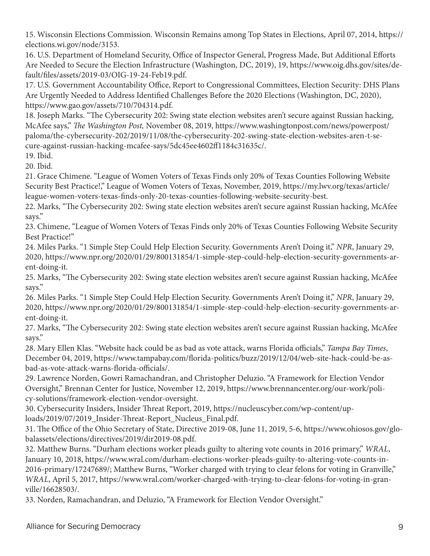15. Wisconsin Elections Commission. Wisconsin Remains among Top States in Elections, April 07, 2014, https:// elections.wi.gov/node/3153.

16. U.S. Department of Homeland Security, Office of Inspector General, Progress Made, But Additional Efforts Are Needed to Secure the Election Infrastructure (Washington, DC, 2019), 19, https://www.oig.dhs.gov/sites/default/files/assets/2019-03/OIG-19-24-Feb19.pdf.

17. U.S. Government Accountability Office, Report to Congressional Committees, Election Security: DHS Plans Are Urgently Needed to Address Identified Challenges Before the 2020 Elections (Washington, DC, 2020), https://www.gao.gov/assets/710/704314.pdf.

18. Joseph Marks. "The Cybersecurity 202: Swing state election websites aren't secure against Russian hacking, McAfee says," *The Washington Post,* November 08, 2019, https://www.washingtonpost.com/news/powerpost/ paloma/the-cybersecurity-202/2019/11/08/the-cybersecurity-202-swing-state-election-websites-aren-t-secure-against-russian-hacking-mcafee-says/5dc45ee4602ff1184c31635c/.

19. Ibid.

20. Ibid.

21. Grace Chimene. "League of Women Voters of Texas Finds only 20% of Texas Counties Following Website Security Best Practice!," League of Women Voters of Texas, November, 2019, https://my.lwv.org/texas/article/ league-women-voters-texas-finds-only-20-texas-counties-following-website-security-best.

22. Marks, "The Cybersecurity 202: Swing state election websites aren't secure against Russian hacking, McAfee says."

23. Chimene, "League of Women Voters of Texas Finds only 20% of Texas Counties Following Website Security Best Practice!"

24. Miles Parks. "1 Simple Step Could Help Election Security. Governments Aren't Doing it," *NPR*, January 29, 2020, https://www.npr.org/2020/01/29/800131854/1-simple-step-could-help-election-security-governments-arent-doing-it.

25. Marks, "The Cybersecurity 202: Swing state election websites aren't secure against Russian hacking, McAfee says."

26. Miles Parks. "1 Simple Step Could Help Election Security. Governments Aren't Doing it," *NPR*, January 29, 2020, https://www.npr.org/2020/01/29/800131854/1-simple-step-could-help-election-security-governments-arent-doing-it.

27. Marks, "The Cybersecurity 202: Swing state election websites aren't secure against Russian hacking, McAfee says."

28. Mary Ellen Klas. "Website hack could be as bad as vote attack, warns Florida officials," *Tampa Bay Times*, December 04, 2019, https://www.tampabay.com/florida-politics/buzz/2019/12/04/web-site-hack-could-be-asbad-as-vote-attack-warns-florida-officials/.

29. Lawrence Norden, Gowri Ramachandran, and Christopher Deluzio. "A Framework for Election Vendor Oversight," Brennan Center for Justice, November 12, 2019, https://www.brennancenter.org/our-work/policy-solutions/framework-election-vendor-oversight.

30. Cybersecurity Insiders, Insider Threat Report, 2019, https://nucleuscyber.com/wp-content/uploads/2019/07/2019\_Insider-Threat-Report\_Nucleus\_Final.pdf.

31. The Office of the Ohio Secretary of State, Directive 2019-08, June 11, 2019, 5-6, https://www.ohiosos.gov/globalassets/elections/directives/2019/dir2019-08.pdf.

32. Matthew Burns. "Durham elections worker pleads guilty to altering vote counts in 2016 primary," *WRAL*, January 10, 2018, https://www.wral.com/durham-elections-worker-pleads-guilty-to-altering-vote-counts-in-2016-primary/17247689/; Matthew Burns, "Worker charged with trying to clear felons for voting in Granville," *WRAL*, April 5, 2017, https://www.wral.com/worker-charged-with-trying-to-clear-felons-for-voting-in-granville/16628503/.

33. Norden, Ramachandran, and Deluzio, "A Framework for Election Vendor Oversight."